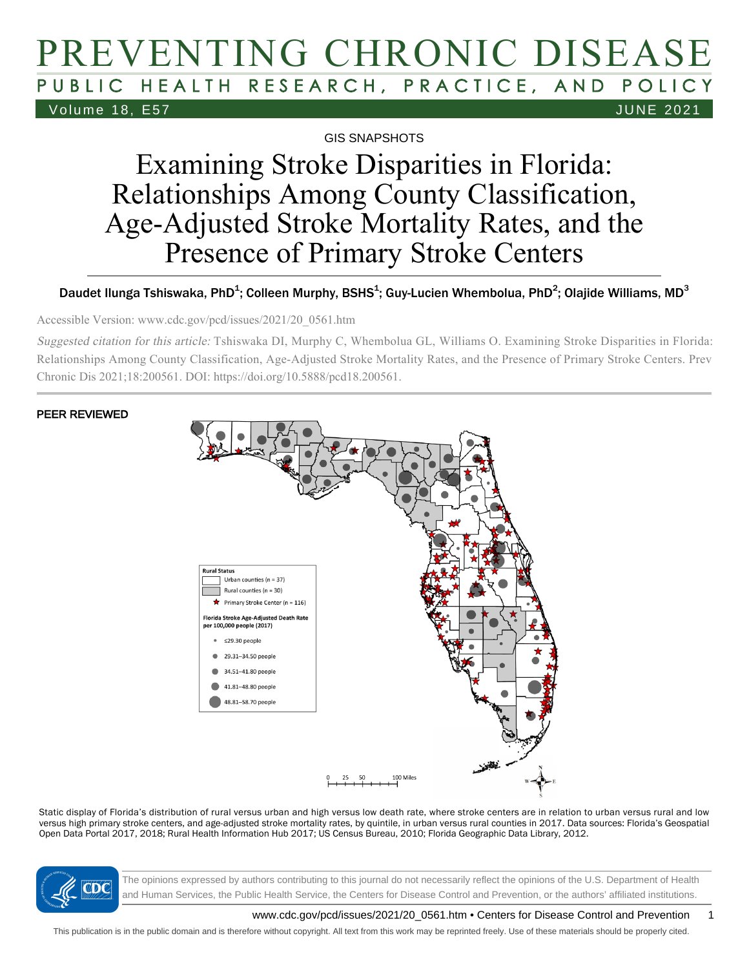# PREVENTING CHRONIC DISEASE PUBLIC HEALTH RESEARCH, PRACTICE, AND POLICY Volume 18, E57 JUNE 2021

GIS SNAPSHOTS

# Examining Stroke Disparities in Florida: Relationships Among County Classification, Age-Adjusted Stroke Mortality Rates, and the Presence of Primary Stroke Centers

#### Daudet Ilunga Tshiswaka, PhD<sup>1</sup>; Colleen Murphy, BSHS<sup>1</sup>; Guy-Lucien Whembolua, PhD<sup>2</sup>; Olajide Williams, MD<sup>3</sup>

Accessible Version: www.cdc.gov/pcd/issues/2021/20\_0561.htm

Suggested citation for this article: Tshiswaka DI, Murphy C, Whembolua GL, Williams O. Examining Stroke Disparities in Florida: Relationships Among County Classification, Age-Adjusted Stroke Mortality Rates, and the Presence of Primary Stroke Centers. Prev Chronic Dis 2021;18:200561. DOI: https://doi.org/10.5888/pcd18.200561.

#### PEER REVIEWED



Static display of Florida's distribution of rural versus urban and high versus low death rate, where stroke centers are in relation to urban versus rural and low versus high primary stroke centers, and age-adjusted stroke mortality rates, by quintile, in urban versus rural counties in 2017. Data sources: Florida's Geospatial Open Data Portal 2017, 2018; Rural Health Information Hub 2017; US Census Bureau, 2010; Florida Geographic Data Library, 2012.



The opinions expressed by authors contributing to this journal do not necessarily reflect the opinions of the U.S. Department of Health and Human Services, the Public Health Service, the Centers for Disease Control and Prevention, or the authors' affiliated institutions.

www.cdc.gov/pcd/issues/2021/20\_0561.htm • Centers for Disease Control and Prevention 1

This publication is in the public domain and is therefore without copyright. All text from this work may be reprinted freely. Use of these materials should be properly cited.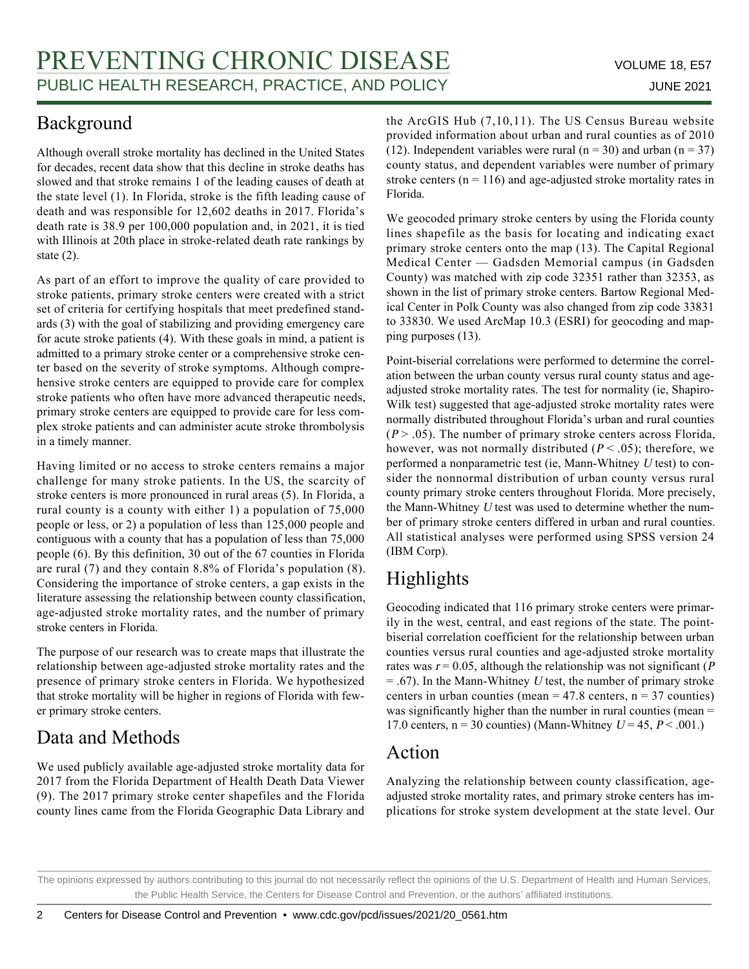### Background

Although overall stroke mortality has declined in the United States for decades, recent data show that this decline in stroke deaths has slowed and that stroke remains 1 of the leading causes of death at the state level (1). In Florida, stroke is the fifth leading cause of death and was responsible for 12,602 deaths in 2017. Florida's death rate is 38.9 per 100,000 population and, in 2021, it is tied with Illinois at 20th place in stroke-related death rate rankings by state (2).

As part of an effort to improve the quality of care provided to stroke patients, primary stroke centers were created with a strict set of criteria for certifying hospitals that meet predefined standards (3) with the goal of stabilizing and providing emergency care for acute stroke patients (4). With these goals in mind, a patient is admitted to a primary stroke center or a comprehensive stroke center based on the severity of stroke symptoms. Although comprehensive stroke centers are equipped to provide care for complex stroke patients who often have more advanced therapeutic needs, primary stroke centers are equipped to provide care for less complex stroke patients and can administer acute stroke thrombolysis in a timely manner.

Having limited or no access to stroke centers remains a major challenge for many stroke patients. In the US, the scarcity of stroke centers is more pronounced in rural areas (5). In Florida, a rural county is a county with either 1) a population of 75,000 people or less, or 2) a population of less than 125,000 people and contiguous with a county that has a population of less than 75,000 people (6). By this definition, 30 out of the 67 counties in Florida are rural (7) and they contain 8.8% of Florida's population (8). Considering the importance of stroke centers, a gap exists in the literature assessing the relationship between county classification, age-adjusted stroke mortality rates, and the number of primary stroke centers in Florida.

The purpose of our research was to create maps that illustrate the relationship between age-adjusted stroke mortality rates and the presence of primary stroke centers in Florida. We hypothesized that stroke mortality will be higher in regions of Florida with fewer primary stroke centers.

## Data and Methods

We used publicly available age-adjusted stroke mortality data for 2017 from the Florida Department of Health Death Data Viewer (9). The 2017 primary stroke center shapefiles and the Florida county lines came from the Florida Geographic Data Library and the ArcGIS Hub (7,10,11). The US Census Bureau website provided information about urban and rural counties as of 2010 (12). Independent variables were rural ( $n = 30$ ) and urban ( $n = 37$ ) county status, and dependent variables were number of primary stroke centers ( $n = 116$ ) and age-adjusted stroke mortality rates in Florida.

We geocoded primary stroke centers by using the Florida county lines shapefile as the basis for locating and indicating exact primary stroke centers onto the map (13). The Capital Regional Medical Center — Gadsden Memorial campus (in Gadsden County) was matched with zip code 32351 rather than 32353, as shown in the list of primary stroke centers. Bartow Regional Medical Center in Polk County was also changed from zip code 33831 to 33830. We used ArcMap 10.3 (ESRI) for geocoding and mapping purposes (13).

Point-biserial correlations were performed to determine the correlation between the urban county versus rural county status and ageadjusted stroke mortality rates. The test for normality (ie, Shapiro-Wilk test) suggested that age-adjusted stroke mortality rates were normally distributed throughout Florida's urban and rural counties  $(P > .05)$ . The number of primary stroke centers across Florida, however, was not normally distributed ( $P < .05$ ); therefore, we performed a nonparametric test (ie, Mann-Whitney <sup>U</sup> test) to consider the nonnormal distribution of urban county versus rural county primary stroke centers throughout Florida. More precisely, the Mann-Whitney <sup>U</sup> test was used to determine whether the number of primary stroke centers differed in urban and rural counties. All statistical analyses were performed using SPSS version 24 (IBM Corp).

### Highlights

Geocoding indicated that 116 primary stroke centers were primarily in the west, central, and east regions of the state. The pointbiserial correlation coefficient for the relationship between urban counties versus rural counties and age-adjusted stroke mortality rates was  $r = 0.05$ , although the relationship was not significant (P  $= .67$ ). In the Mann-Whitney U test, the number of primary stroke centers in urban counties (mean =  $47.8$  centers, n =  $37$  counties) was significantly higher than the number in rural counties (mean = 17.0 centers,  $n = 30$  counties) (Mann-Whitney  $U = 45$ ,  $P < .001$ .)

#### Action

Analyzing the relationship between county classification, ageadjusted stroke mortality rates, and primary stroke centers has implications for stroke system development at the state level. Our

The opinions expressed by authors contributing to this journal do not necessarily reflect the opinions of the U.S. Department of Health and Human Services, the Public Health Service, the Centers for Disease Control and Prevention, or the authors' affiliated institutions.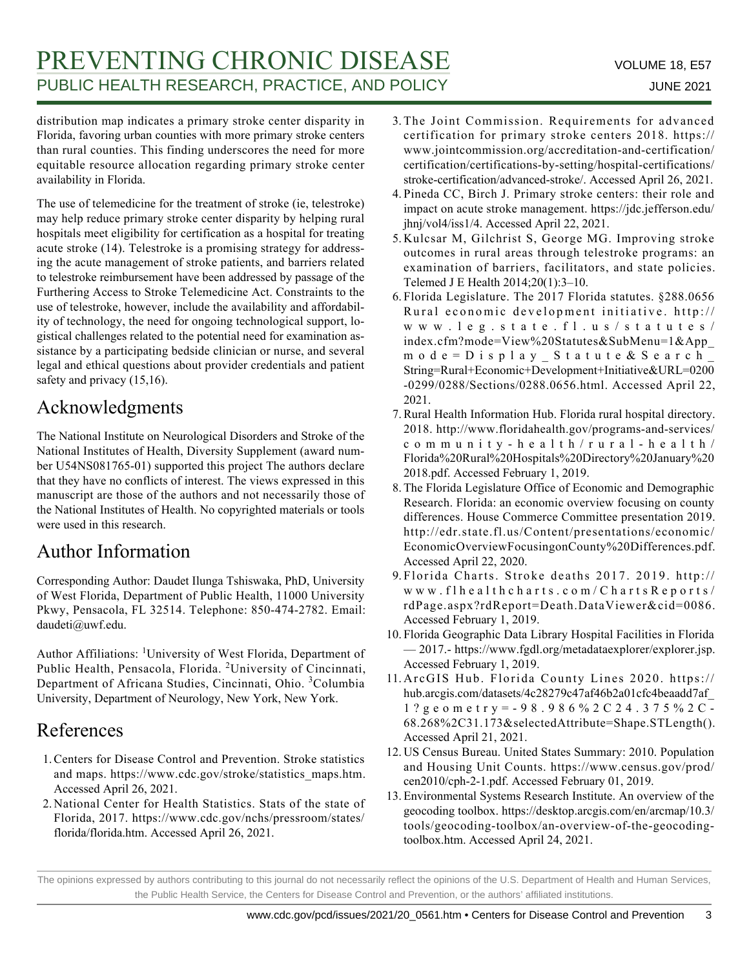# PREVENTING CHRONIC DISEASE VOLUME 18, E57 PUBLIC HEALTH RESEARCH, PRACTICE, AND POLICY **FOUR ALL SEALTH SETTING** 2021

distribution map indicates a primary stroke center disparity in Florida, favoring urban counties with more primary stroke centers than rural counties. This finding underscores the need for more equitable resource allocation regarding primary stroke center availability in Florida.

The use of telemedicine for the treatment of stroke (ie, telestroke) may help reduce primary stroke center disparity by helping rural hospitals meet eligibility for certification as a hospital for treating acute stroke (14). Telestroke is a promising strategy for addressing the acute management of stroke patients, and barriers related to telestroke reimbursement have been addressed by passage of the Furthering Access to Stroke Telemedicine Act. Constraints to the use of telestroke, however, include the availability and affordability of technology, the need for ongoing technological support, logistical challenges related to the potential need for examination assistance by a participating bedside clinician or nurse, and several legal and ethical questions about provider credentials and patient safety and privacy  $(15,16)$ .

#### Acknowledgments

The National Institute on Neurological Disorders and Stroke of the National Institutes of Health, Diversity Supplement (award number U54NS081765-01) supported this project The authors declare that they have no conflicts of interest. The views expressed in this manuscript are those of the authors and not necessarily those of the National Institutes of Health. No copyrighted materials or tools were used in this research.

#### Author Information

Corresponding Author: Daudet Ilunga Tshiswaka, PhD, University of West Florida, Department of Public Health, 11000 University Pkwy, Pensacola, FL 32514. Telephone: 850-474-2782. Email: daudeti@uwf.edu.

Author Affiliations: <sup>1</sup>University of West Florida, Department of Public Health, Pensacola, Florida. <sup>2</sup>University of Cincinnati, Department of Africana Studies, Cincinnati, Ohio. <sup>3</sup>Columbia University, Department of Neurology, New York, New York.

#### References

- Centers for Disease Control and Prevention. Stroke statistics 1. and maps. https://www.cdc.gov/stroke/statistics\_maps.htm. Accessed April 26, 2021.
- 2. National Center for Health Statistics. Stats of the state of Florida, 2017. https://www.cdc.gov/nchs/pressroom/states/ florida/florida.htm. Accessed April 26, 2021.
- 3. The Joint Commission. Requirements for advanced certification for primary stroke centers 2018. https:// www.jointcommission.org/accreditation-and-certification/ certification/certifications-by-setting/hospital-certifications/ stroke-certification/advanced-stroke/. Accessed April 26, 2021.
- 4. Pineda CC, Birch J. Primary stroke centers: their role and impact on acute stroke management. https://jdc.jefferson.edu/ jhnj/vol4/iss1/4. Accessed April 22, 2021.
- 5. Kulcsar M, Gilchrist S, George MG. Improving stroke outcomes in rural areas through telestroke programs: an examination of barriers, facilitators, and state policies. Telemed J E Health 2014;20(1):3–10.
- Florida Legislature. The 2017 Florida statutes. §288.0656 6. Rural economic development initiative. http:// www.leg.state.fl.us/statutes/ index.cfm?mode=View%20Statutes&SubMenu=1&App\_ mode=Display\_Statute&Search\_ String=Rural+Economic+Development+Initiative&URL=0200 -0299/0288/Sections/0288.0656.html. Accessed April 22, 2021.
- 7. Rural Health Information Hub. Florida rural hospital directory. 2018. http://www.floridahealth.gov/programs-and-services/ community-health/rural-health/ Florida%20Rural%20Hospitals%20Directory%20January%20 2018.pdf. Accessed February 1, 2019.
- 8. The Florida Legislature Office of Economic and Demographic Research. Florida: an economic overview focusing on county differences. House Commerce Committee presentation 2019. http://edr.state.fl.us/Content/presentations/economic/ EconomicOverviewFocusingonCounty%20Differences.pdf. Accessed April 22, 2020.
- Florida Charts. Stroke deaths 2017. 2019. http:// 9. www.flhealthcharts.com/ChartsReports/ rdPage.aspx?rdReport=Death.DataViewer&cid=0086. Accessed February 1, 2019.
- Florida Geographic Data Library Hospital Facilities in Florida 10. — 2017.- https://www.fgdl.org/metadataexplorer/explorer.jsp. Accessed February 1, 2019.
- 11. ArcGIS Hub. Florida County Lines 2020. https:// hub.arcgis.com/datasets/4c28279c47af46b2a01cfc4beaadd7af\_ 1?geometry=-98.986%2C24.375%2C-68.268%2C31.173&selectedAttribute=Shape.STLength(). Accessed April 21, 2021.
- 12. US Census Bureau. United States Summary: 2010. Population and Housing Unit Counts. https://www.census.gov/prod/ cen2010/cph-2-1.pdf. Accessed February 01, 2019.
- Environmental Systems Research Institute. An overview of the 13. geocoding toolbox. https://desktop.arcgis.com/en/arcmap/10.3/ tools/geocoding-toolbox/an-overview-of-the-geocodingtoolbox.htm. Accessed April 24, 2021.

The opinions expressed by authors contributing to this journal do not necessarily reflect the opinions of the U.S. Department of Health and Human Services, the Public Health Service, the Centers for Disease Control and Prevention, or the authors' affiliated institutions.